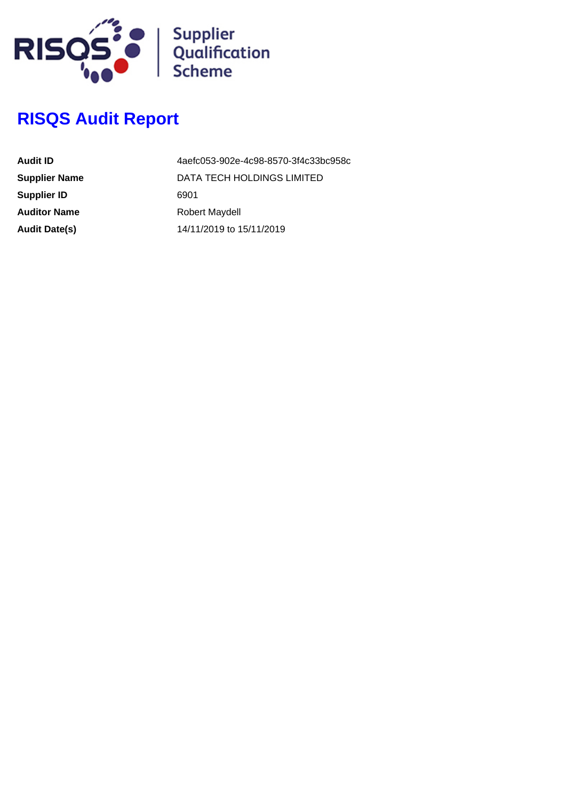

# **RISQS Audit Report**

| Audit ID             | 4aefc053-902e-4c98-8570-3f4c33bc958c |
|----------------------|--------------------------------------|
| <b>Supplier Name</b> | DATA TECH HOLDINGS LIMITED           |
| <b>Supplier ID</b>   | 6901                                 |
| <b>Auditor Name</b>  | Robert Maydell                       |
| <b>Audit Date(s)</b> | 14/11/2019 to 15/11/2019             |
|                      |                                      |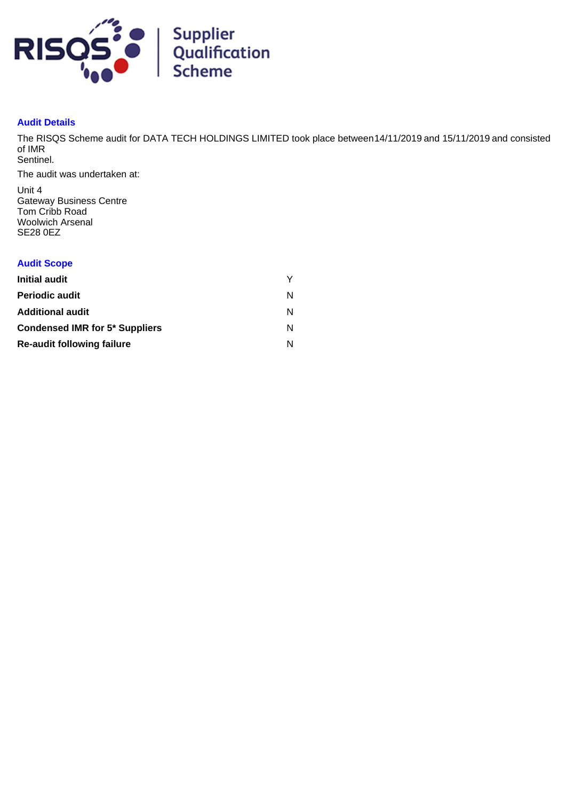

# **Audit Details**

The RISQS Scheme audit for DATA TECH HOLDINGS LIMITED took place between 14/11/2019 and 15/11/2019 and consisted of IMR Sentinel.

The audit was undertaken at:

Unit 4 Gateway Business Centre Tom Cribb Road Woolwich Arsenal SE28 0EZ

# **Audit Scope**

| Initial audit                         |   |
|---------------------------------------|---|
| <b>Periodic audit</b>                 | N |
| <b>Additional audit</b>               | N |
| <b>Condensed IMR for 5* Suppliers</b> | N |
| <b>Re-audit following failure</b>     |   |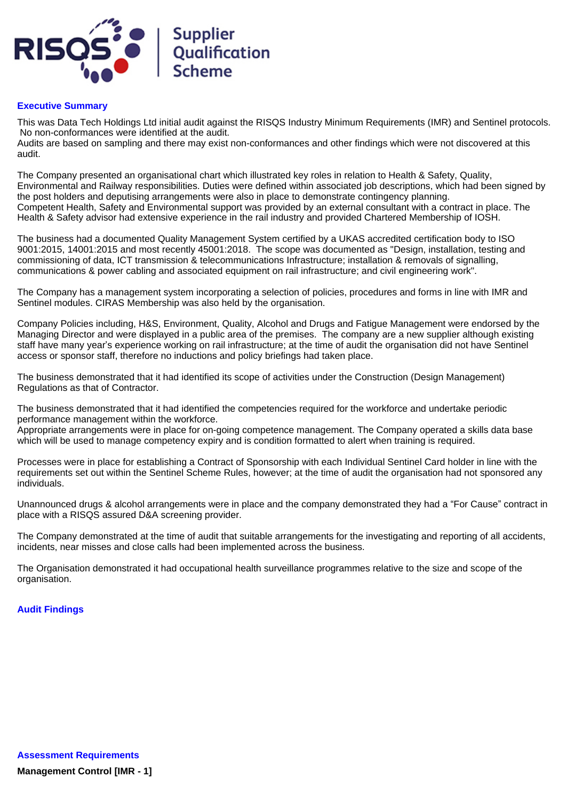

### **Executive Summary**

This was Data Tech Holdings Ltd initial audit against the RISQS Industry Minimum Requirements (IMR) and Sentinel protocols. No non-conformances were identified at the audit.

Audits are based on sampling and there may exist non-conformances and other findings which were not discovered at this audit.

The Company presented an organisational chart which illustrated key roles in relation to Health & Safety, Quality, Environmental and Railway responsibilities. Duties were defined within associated job descriptions, which had been signed by the post holders and deputising arrangements were also in place to demonstrate contingency planning. Competent Health, Safety and Environmental support was provided by an external consultant with a contract in place. The Health & Safety advisor had extensive experience in the rail industry and provided Chartered Membership of IOSH.

The business had a documented Quality Management System certified by a UKAS accredited certification body to ISO 9001:2015, 14001:2015 and most recently 45001:2018. The scope was documented as "Design, installation, testing and commissioning of data, ICT transmission & telecommunications Infrastructure; installation & removals of signalling, communications & power cabling and associated equipment on rail infrastructure; and civil engineering work".

The Company has a management system incorporating a selection of policies, procedures and forms in line with IMR and Sentinel modules. CIRAS Membership was also held by the organisation.

Company Policies including, H&S, Environment, Quality, Alcohol and Drugs and Fatigue Management were endorsed by the Managing Director and were displayed in a public area of the premises. The company are a new supplier although existing staff have many year's experience working on rail infrastructure; at the time of audit the organisation did not have Sentinel access or sponsor staff, therefore no inductions and policy briefings had taken place.

The business demonstrated that it had identified its scope of activities under the Construction (Design Management) Regulations as that of Contractor.

The business demonstrated that it had identified the competencies required for the workforce and undertake periodic performance management within the workforce.

Appropriate arrangements were in place for on-going competence management. The Company operated a skills data base which will be used to manage competency expiry and is condition formatted to alert when training is required.

Processes were in place for establishing a Contract of Sponsorship with each Individual Sentinel Card holder in line with the requirements set out within the Sentinel Scheme Rules, however; at the time of audit the organisation had not sponsored any individuals.

Unannounced drugs & alcohol arrangements were in place and the company demonstrated they had a "For Cause" contract in place with a RISQS assured D&A screening provider.

The Company demonstrated at the time of audit that suitable arrangements for the investigating and reporting of all accidents, incidents, near misses and close calls had been implemented across the business.

The Organisation demonstrated it had occupational health surveillance programmes relative to the size and scope of the organisation.

#### **Audit Findings**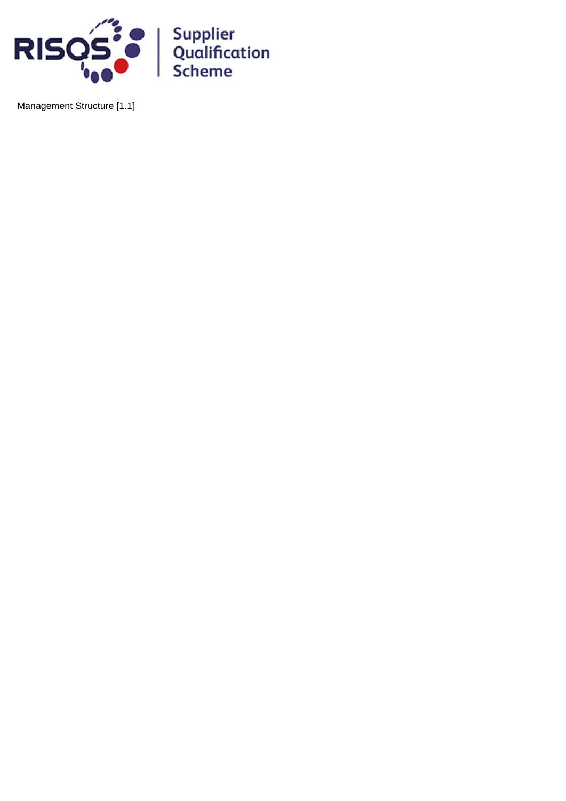

Management Structure [1.1]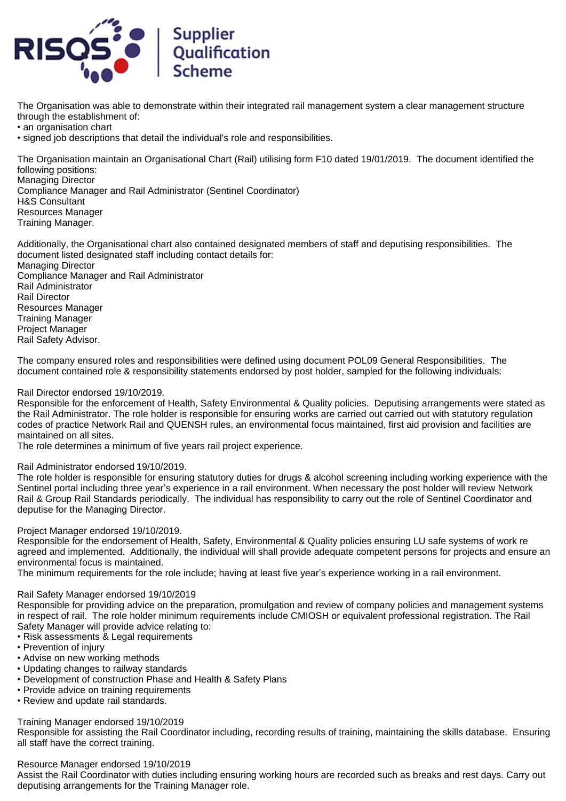

The Organisation was able to demonstrate within their integrated rail management system a clear management structure through the establishment of:

• an organisation chart

• signed job descriptions that detail the individual's role and responsibilities.

The Organisation maintain an Organisational Chart (Rail) utilising form F10 dated 19/01/2019. The document identified the following positions:

Managing Director Compliance Manager and Rail Administrator (Sentinel Coordinator) H&S Consultant Resources Manager Training Manager.

Additionally, the Organisational chart also contained designated members of staff and deputising responsibilities. The document listed designated staff including contact details for: Managing Director Compliance Manager and Rail Administrator Rail Administrator Rail Director Resources Manager Training Manager Project Manager Rail Safety Advisor.

The company ensured roles and responsibilities were defined using document POL09 General Responsibilities. The document contained role & responsibility statements endorsed by post holder, sampled for the following individuals:

#### Rail Director endorsed 19/10/2019.

Responsible for the enforcement of Health, Safety Environmental & Quality policies. Deputising arrangements were stated as the Rail Administrator. The role holder is responsible for ensuring works are carried out carried out with statutory regulation codes of practice Network Rail and QUENSH rules, an environmental focus maintained, first aid provision and facilities are maintained on all sites.

The role determines a minimum of five years rail project experience.

#### Rail Administrator endorsed 19/10/2019.

The role holder is responsible for ensuring statutory duties for drugs & alcohol screening including working experience with the Sentinel portal including three year's experience in a rail environment. When necessary the post holder will review Network Rail & Group Rail Standards periodically. The individual has responsibility to carry out the role of Sentinel Coordinator and deputise for the Managing Director.

Project Manager endorsed 19/10/2019.

Responsible for the endorsement of Health, Safety, Environmental & Quality policies ensuring LU safe systems of work re agreed and implemented. Additionally, the individual will shall provide adequate competent persons for projects and ensure an environmental focus is maintained.

The minimum requirements for the role include; having at least five year's experience working in a rail environment.

#### Rail Safety Manager endorsed 19/10/2019

Responsible for providing advice on the preparation, promulgation and review of company policies and management systems in respect of rail. The role holder minimum requirements include CMIOSH or equivalent professional registration. The Rail Safety Manager will provide advice relating to:

- Risk assessments & Legal requirements
- Prevention of injury
- Advise on new working methods
- Updating changes to railway standards
- Development of construction Phase and Health & Safety Plans
- Provide advice on training requirements
- Review and update rail standards.

Training Manager endorsed 19/10/2019

Responsible for assisting the Rail Coordinator including, recording results of training, maintaining the skills database. Ensuring all staff have the correct training.

#### Resource Manager endorsed 19/10/2019

Assist the Rail Coordinator with duties including ensuring working hours are recorded such as breaks and rest days. Carry out deputising arrangements for the Training Manager role.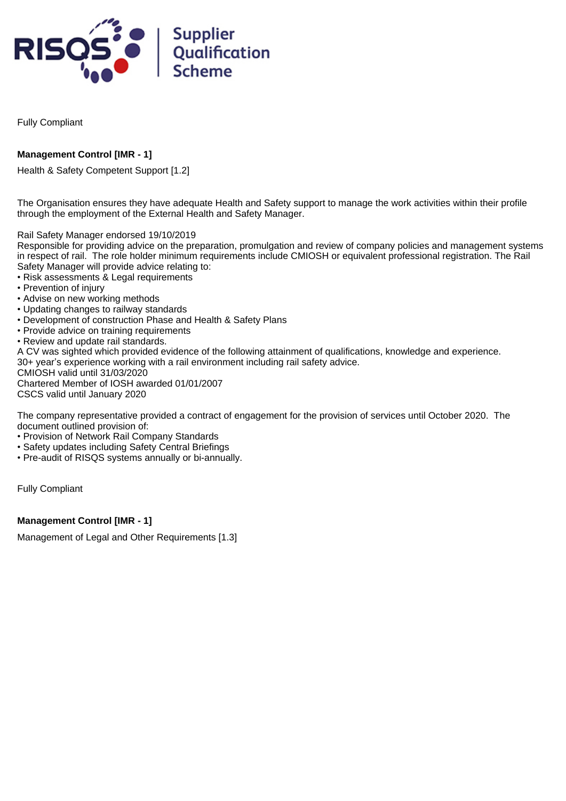

Fully Compliant

# **Management Control [IMR - 1]**

Health & Safety Competent Support [1.2]

The Organisation ensures they have adequate Health and Safety support to manage the work activities within their profile through the employment of the External Health and Safety Manager.

Rail Safety Manager endorsed 19/10/2019

Responsible for providing advice on the preparation, promulgation and review of company policies and management systems in respect of rail. The role holder minimum requirements include CMIOSH or equivalent professional registration. The Rail Safety Manager will provide advice relating to:

- Risk assessments & Legal requirements
- Prevention of injury
- Advise on new working methods
- Updating changes to railway standards
- Development of construction Phase and Health & Safety Plans
- Provide advice on training requirements
- Review and update rail standards.

A CV was sighted which provided evidence of the following attainment of qualifications, knowledge and experience. 30+ year's experience working with a rail environment including rail safety advice.

CMIOSH valid until 31/03/2020 Chartered Member of IOSH awarded 01/01/2007

CSCS valid until January 2020

The company representative provided a contract of engagement for the provision of services until October 2020. The document outlined provision of:

- Provision of Network Rail Company Standards
- Safety updates including Safety Central Briefings
- Pre-audit of RISQS systems annually or bi-annually.

Fully Compliant

# **Management Control [IMR - 1]**

Management of Legal and Other Requirements [1.3]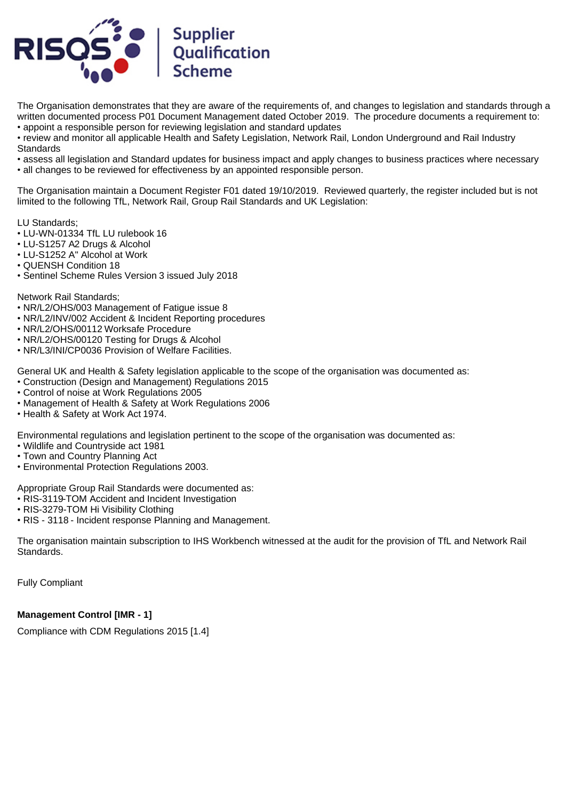

The Organisation demonstrates that they are aware of the requirements of, and changes to legislation and standards through a written documented process P01 Document Management dated October 2019. The procedure documents a requirement to: • appoint a responsible person for reviewing legislation and standard updates

• review and monitor all applicable Health and Safety Legislation, Network Rail, London Underground and Rail Industry **Standards** 

• assess all legislation and Standard updates for business impact and apply changes to business practices where necessary

• all changes to be reviewed for effectiveness by an appointed responsible person.

The Organisation maintain a Document Register F01 dated 19/10/2019. Reviewed quarterly, the register included but is not limited to the following TfL, Network Rail, Group Rail Standards and UK Legislation:

LU Standards;

- LU-WN-01334 TfL LU rulebook 16
- LU-S1257 A2 Drugs & Alcohol
- LU-S1252 A" Alcohol at Work
- QUENSH Condition 18
- Sentinel Scheme Rules Version 3 issued July 2018

Network Rail Standards;

- NR/L2/OHS/003 Management of Fatigue issue 8
- NR/L2/INV/002 Accident & Incident Reporting procedures
- NR/L2/OHS/00112 Worksafe Procedure
- NR/L2/OHS/00120 Testing for Drugs & Alcohol
- NR/L3/INI/CP0036 Provision of Welfare Facilities.

General UK and Health & Safety legislation applicable to the scope of the organisation was documented as:

- Construction (Design and Management) Regulations 2015
- Control of noise at Work Regulations 2005
- Management of Health & Safety at Work Regulations 2006
- Health & Safety at Work Act 1974.

Environmental regulations and legislation pertinent to the scope of the organisation was documented as:

- Wildlife and Countryside act 1981
- Town and Country Planning Act
- Environmental Protection Regulations 2003.

Appropriate Group Rail Standards were documented as:

- RIS-3119-TOM Accident and Incident Investigation
- RIS-3279-TOM Hi Visibility Clothing
- RIS 3118 Incident response Planning and Management.

The organisation maintain subscription to IHS Workbench witnessed at the audit for the provision of TfL and Network Rail Standards.

Fully Compliant

# **Management Control [IMR - 1]**

Compliance with CDM Regulations 2015 [1.4]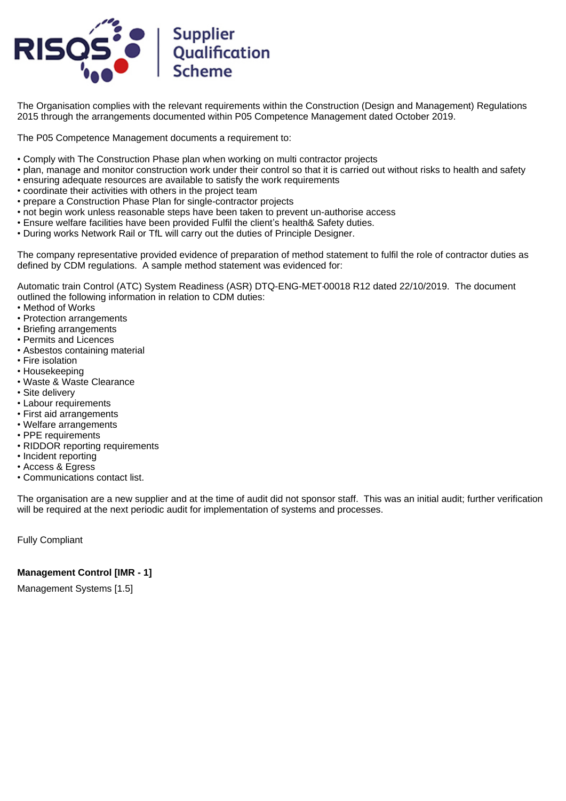

The Organisation complies with the relevant requirements within the Construction (Design and Management) Regulations 2015 through the arrangements documented within P05 Competence Management dated October 2019.

The P05 Competence Management documents a requirement to:

- Comply with The Construction Phase plan when working on multi contractor projects
- plan, manage and monitor construction work under their control so that it is carried out without risks to health and safety
- ensuring adequate resources are available to satisfy the work requirements
- coordinate their activities with others in the project team
- prepare a Construction Phase Plan for single-contractor projects
- not begin work unless reasonable steps have been taken to prevent un-authorise access
- Ensure welfare facilities have been provided Fulfil the client's health& Safety duties.
- During works Network Rail or TfL will carry out the duties of Principle Designer.

The company representative provided evidence of preparation of method statement to fulfil the role of contractor duties as defined by CDM regulations. A sample method statement was evidenced for:

Automatic train Control (ATC) System Readiness (ASR) DTQ-ENG-MET-00018 R12 dated 22/10/2019. The document outlined the following information in relation to CDM duties:

- Method of Works
- Protection arrangements
- Briefing arrangements
- Permits and Licences
- Asbestos containing material
- Fire isolation
- Housekeeping
- Waste & Waste Clearance
- Site delivery
- Labour requirements
- First aid arrangements
- Welfare arrangements
- PPE requirements
- RIDDOR reporting requirements
- Incident reporting
- Access & Egress
- Communications contact list.

The organisation are a new supplier and at the time of audit did not sponsor staff. This was an initial audit; further verification will be required at the next periodic audit for implementation of systems and processes.

Fully Compliant

# **Management Control [IMR - 1]**

Management Systems [1.5]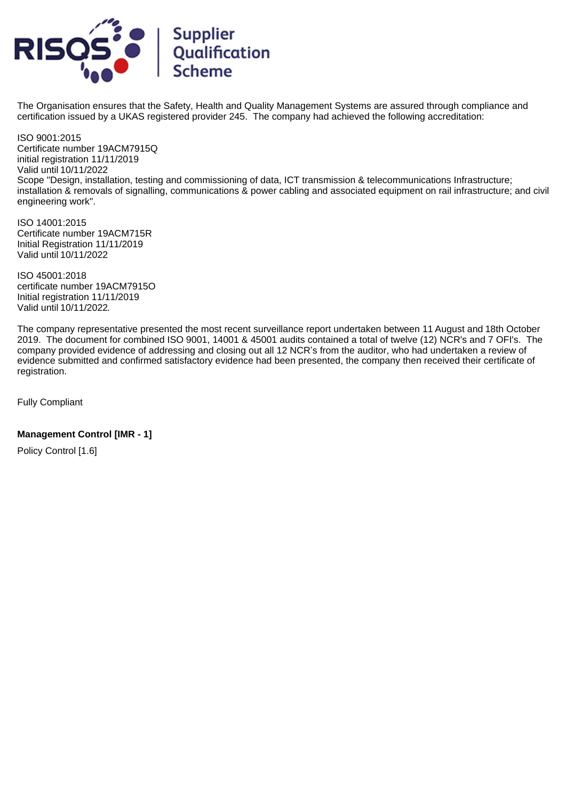

The Organisation ensures that the Safety, Health and Quality Management Systems are assured through compliance and certification issued by a UKAS registered provider 245. The company had achieved the following accreditation:

ISO 9001:2015 Certificate number 19ACM7915Q initial registration 11/11/2019 Valid until 10/11/2022 Scope "Design, installation, testing and commissioning of data, ICT transmission & telecommunications Infrastructure; installation & removals of signalling, communications & power cabling and associated equipment on rail infrastructure; and civil engineering work".

ISO 14001:2015 Certificate number 19ACM715R Initial Registration 11/11/2019 Valid until 10/11/2022

ISO 45001:2018 certificate number 19ACM7915O Initial registration 11/11/2019 Valid until 10/11/2022.

The company representative presented the most recent surveillance report undertaken between 11 August and 18th October 2019. The document for combined ISO 9001, 14001 & 45001 audits contained a total of twelve (12) NCR's and 7 OFI's. The company provided evidence of addressing and closing out all 12 NCR's from the auditor, who had undertaken a review of evidence submitted and confirmed satisfactory evidence had been presented, the company then received their certificate of registration.

Fully Compliant

# **Management Control [IMR - 1]**

Policy Control [1.6]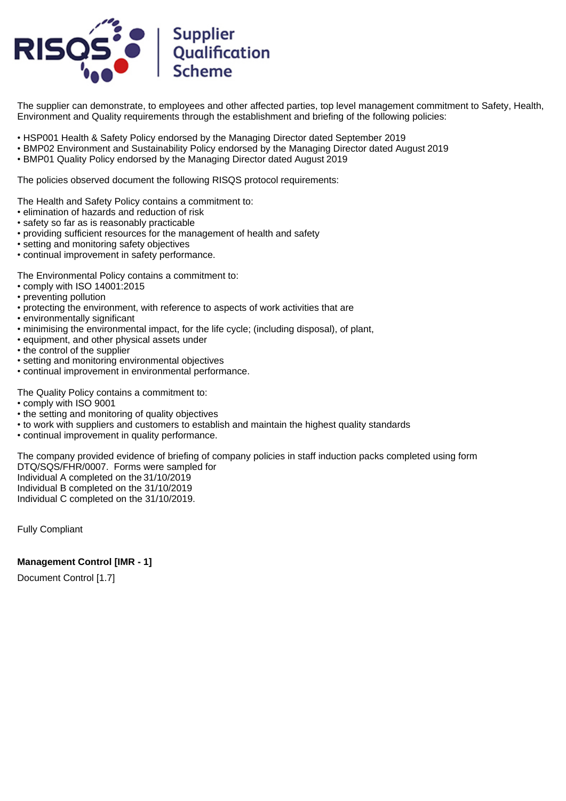

The supplier can demonstrate, to employees and other affected parties, top level management commitment to Safety, Health, Environment and Quality requirements through the establishment and briefing of the following policies:

- HSP001 Health & Safety Policy endorsed by the Managing Director dated September 2019
- BMP02 Environment and Sustainability Policy endorsed by the Managing Director dated August 2019
- BMP01 Quality Policy endorsed by the Managing Director dated August 2019

The policies observed document the following RISQS protocol requirements:

The Health and Safety Policy contains a commitment to:

- elimination of hazards and reduction of risk
- safety so far as is reasonably practicable
- providing sufficient resources for the management of health and safety
- setting and monitoring safety objectives
- continual improvement in safety performance.

The Environmental Policy contains a commitment to:

- comply with ISO 14001:2015
- preventing pollution
- protecting the environment, with reference to aspects of work activities that are
- environmentally significant
- minimising the environmental impact, for the life cycle; (including disposal), of plant,
- equipment, and other physical assets under
- the control of the supplier
- setting and monitoring environmental objectives
- continual improvement in environmental performance.

The Quality Policy contains a commitment to:

- comply with ISO 9001
- the setting and monitoring of quality objectives
- to work with suppliers and customers to establish and maintain the highest quality standards
- continual improvement in quality performance.

The company provided evidence of briefing of company policies in staff induction packs completed using form DTQ/SQS/FHR/0007. Forms were sampled for Individual A completed on the 31/10/2019 Individual B completed on the 31/10/2019 Individual C completed on the 31/10/2019.

Fully Compliant

#### **Management Control [IMR - 1]**

Document Control [1.7]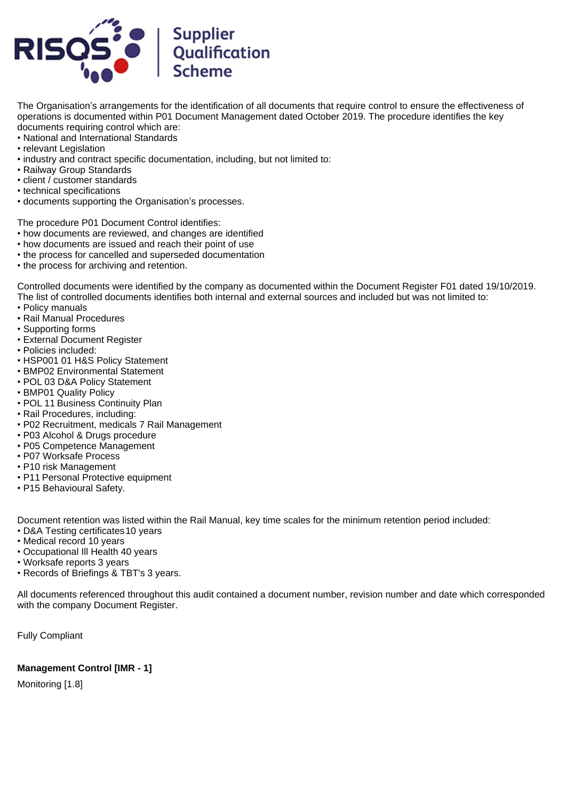

The Organisation's arrangements for the identification of all documents that require control to ensure the effectiveness of operations is documented within P01 Document Management dated October 2019. The procedure identifies the key documents requiring control which are:

- National and International Standards
- relevant Legislation
- industry and contract specific documentation, including, but not limited to:
- Railway Group Standards
- client / customer standards
- technical specifications
- documents supporting the Organisation's processes.

The procedure P01 Document Control identifies:

- how documents are reviewed, and changes are identified
- how documents are issued and reach their point of use
- the process for cancelled and superseded documentation
- the process for archiving and retention.

Controlled documents were identified by the company as documented within the Document Register F01 dated 19/10/2019. The list of controlled documents identifies both internal and external sources and included but was not limited to:

- Policy manuals
- Rail Manual Procedures
- Supporting forms
- External Document Register
- Policies included:
- HSP001 01 H&S Policy Statement
- BMP02 Environmental Statement
- POL 03 D&A Policy Statement
- BMP01 Quality Policy
- POL 11 Business Continuity Plan
- Rail Procedures, including:
- P02 Recruitment, medicals 7 Rail Management
- P03 Alcohol & Drugs procedure
- P05 Competence Management
- P07 Worksafe Process
- P10 risk Management
- P11 Personal Protective equipment
- P15 Behavioural Safety.

Document retention was listed within the Rail Manual, key time scales for the minimum retention period included:

- D&A Testing certificates 10 years
- Medical record 10 years
- Occupational Ill Health 40 years
- Worksafe reports 3 years
- Records of Briefings & TBT's 3 years.

All documents referenced throughout this audit contained a document number, revision number and date which corresponded with the company Document Register.

Fully Compliant

# **Management Control [IMR - 1]**

Monitoring [1.8]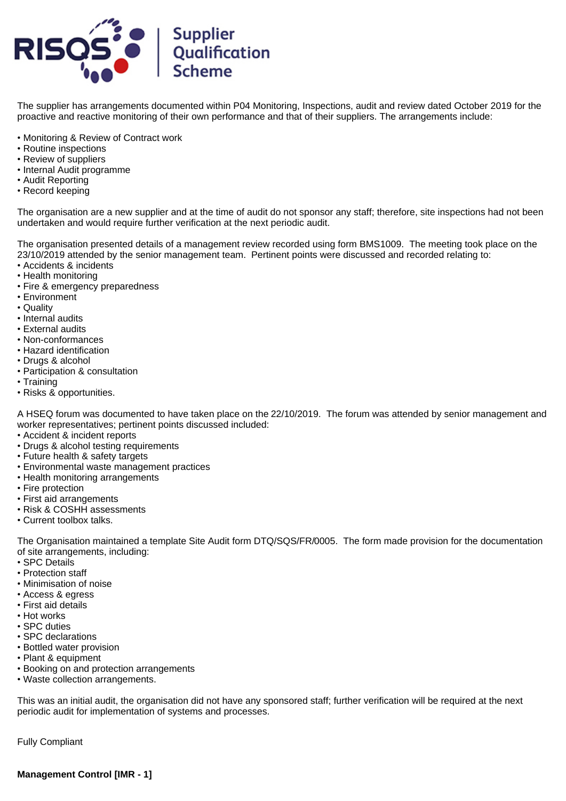

The supplier has arrangements documented within P04 Monitoring, Inspections, audit and review dated October 2019 for the proactive and reactive monitoring of their own performance and that of their suppliers. The arrangements include:

- Monitoring & Review of Contract work
- Routine inspections
- Review of suppliers
- Internal Audit programme
- Audit Reporting
- Record keeping

The organisation are a new supplier and at the time of audit do not sponsor any staff; therefore, site inspections had not been undertaken and would require further verification at the next periodic audit.

The organisation presented details of a management review recorded using form BMS1009. The meeting took place on the 23/10/2019 attended by the senior management team. Pertinent points were discussed and recorded relating to:

- Accidents & incidents
- Health monitoring
- Fire & emergency preparedness
- Environment
- Quality
- Internal audits
- External audits
- Non-conformances
- Hazard identification
- Drugs & alcohol
- Participation & consultation
- Training
- Risks & opportunities.

A HSEQ forum was documented to have taken place on the 22/10/2019. The forum was attended by senior management and worker representatives; pertinent points discussed included:

- Accident & incident reports
- Drugs & alcohol testing requirements
- Future health & safety targets
- Environmental waste management practices
- Health monitoring arrangements
- Fire protection
- First aid arrangements
- Risk & COSHH assessments
- Current toolbox talks.

The Organisation maintained a template Site Audit form DTQ/SQS/FR/0005. The form made provision for the documentation of site arrangements, including:

- SPC Details
- Protection staff
- Minimisation of noise
- Access & egress
- First aid details
- Hot works
- SPC duties
- SPC declarations
- Bottled water provision
- Plant & equipment
- Booking on and protection arrangements
- Waste collection arrangements.

This was an initial audit, the organisation did not have any sponsored staff; further verification will be required at the next periodic audit for implementation of systems and processes.

Fully Compliant

**Management Control [IMR - 1]**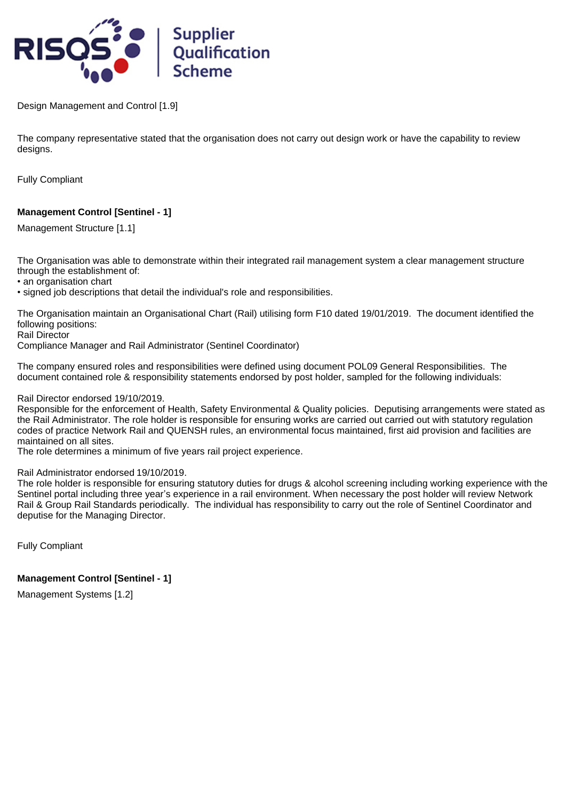

Design Management and Control [1.9]

The company representative stated that the organisation does not carry out design work or have the capability to review designs.

Fully Compliant

# **Management Control [Sentinel - 1]**

Management Structure [1.1]

The Organisation was able to demonstrate within their integrated rail management system a clear management structure through the establishment of:

• an organisation chart

• signed job descriptions that detail the individual's role and responsibilities.

The Organisation maintain an Organisational Chart (Rail) utilising form F10 dated 19/01/2019. The document identified the following positions:

Rail Director

Compliance Manager and Rail Administrator (Sentinel Coordinator)

The company ensured roles and responsibilities were defined using document POL09 General Responsibilities. The document contained role & responsibility statements endorsed by post holder, sampled for the following individuals:

Rail Director endorsed 19/10/2019.

Responsible for the enforcement of Health, Safety Environmental & Quality policies. Deputising arrangements were stated as the Rail Administrator. The role holder is responsible for ensuring works are carried out carried out with statutory regulation codes of practice Network Rail and QUENSH rules, an environmental focus maintained, first aid provision and facilities are maintained on all sites.

The role determines a minimum of five years rail project experience.

#### Rail Administrator endorsed 19/10/2019.

The role holder is responsible for ensuring statutory duties for drugs & alcohol screening including working experience with the Sentinel portal including three year's experience in a rail environment. When necessary the post holder will review Network Rail & Group Rail Standards periodically. The individual has responsibility to carry out the role of Sentinel Coordinator and deputise for the Managing Director.

Fully Compliant

# **Management Control [Sentinel - 1]**

Management Systems [1.2]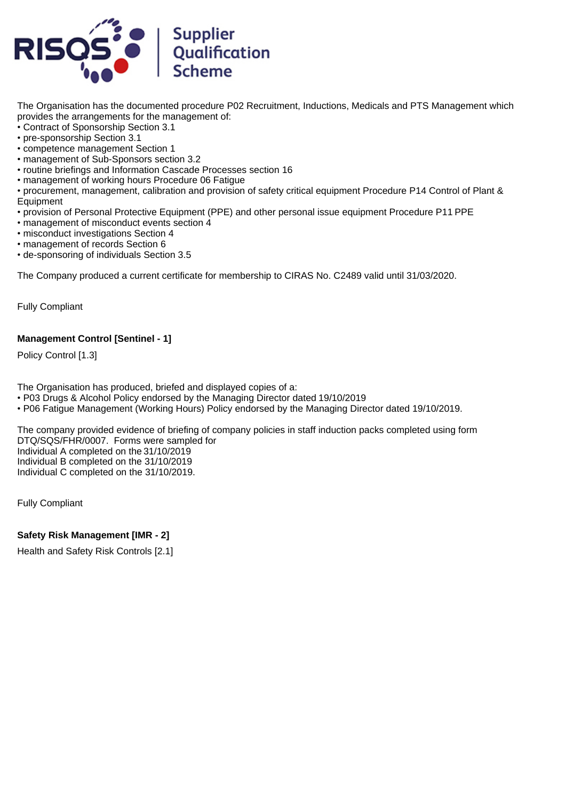

The Organisation has the documented procedure P02 Recruitment, Inductions, Medicals and PTS Management which provides the arrangements for the management of:

- Contract of Sponsorship Section 3.1
- pre-sponsorship Section 3.1
- competence management Section 1
- management of Sub-Sponsors section 3.2
- routine briefings and Information Cascade Processes section 16
- management of working hours Procedure 06 Fatigue
- procurement, management, calibration and provision of safety critical equipment Procedure P14 Control of Plant & Equipment
- provision of Personal Protective Equipment (PPE) and other personal issue equipment Procedure P11 PPE
- management of misconduct events section 4
- misconduct investigations Section 4
- management of records Section 6
- de-sponsoring of individuals Section 3.5

The Company produced a current certificate for membership to CIRAS No. C2489 valid until 31/03/2020.

Fully Compliant

# **Management Control [Sentinel - 1]**

Policy Control [1.3]

The Organisation has produced, briefed and displayed copies of a:

• P03 Drugs & Alcohol Policy endorsed by the Managing Director dated 19/10/2019

• P06 Fatigue Management (Working Hours) Policy endorsed by the Managing Director dated 19/10/2019.

The company provided evidence of briefing of company policies in staff induction packs completed using form DTQ/SQS/FHR/0007. Forms were sampled for Individual A completed on the 31/10/2019 Individual B completed on the 31/10/2019 Individual C completed on the 31/10/2019.

Fully Compliant

# **Safety Risk Management [IMR - 2]**

Health and Safety Risk Controls [2.1]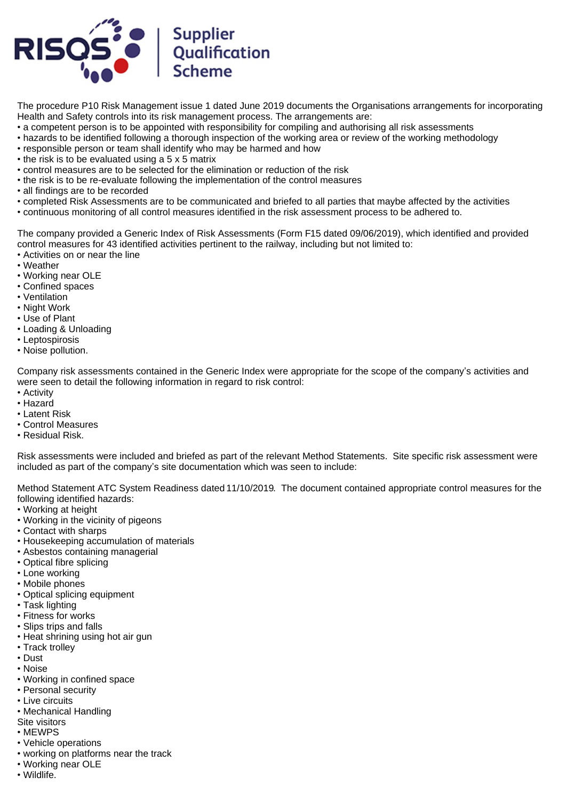

The procedure P10 Risk Management issue 1 dated June 2019 documents the Organisations arrangements for incorporating Health and Safety controls into its risk management process. The arrangements are:

- a competent person is to be appointed with responsibility for compiling and authorising all risk assessments
- hazards to be identified following a thorough inspection of the working area or review of the working methodology
- responsible person or team shall identify who may be harmed and how
- the risk is to be evaluated using a 5 x 5 matrix
- control measures are to be selected for the elimination or reduction of the risk
- the risk is to be re-evaluate following the implementation of the control measures
- all findings are to be recorded
- completed Risk Assessments are to be communicated and briefed to all parties that maybe affected by the activities
- continuous monitoring of all control measures identified in the risk assessment process to be adhered to.

The company provided a Generic Index of Risk Assessments (Form F15 dated 09/06/2019), which identified and provided control measures for 43 identified activities pertinent to the railway, including but not limited to:

- Activities on or near the line
- Weather
- Working near OLE
- Confined spaces
- Ventilation
- Night Work
- Use of Plant
- Loading & Unloading
- Leptospirosis
- Noise pollution.

Company risk assessments contained in the Generic Index were appropriate for the scope of the company's activities and were seen to detail the following information in regard to risk control:

- Activity
- Hazard
- Latent Risk
- Control Measures
- Residual Risk.

Risk assessments were included and briefed as part of the relevant Method Statements. Site specific risk assessment were included as part of the company's site documentation which was seen to include:

Method Statement ATC System Readiness dated 11/10/2019. The document contained appropriate control measures for the following identified hazards:

- Working at height
- Working in the vicinity of pigeons
- Contact with sharps
- Housekeeping accumulation of materials
- Asbestos containing managerial
- Optical fibre splicing
- Lone working
- Mobile phones
- Optical splicing equipment
- Task lighting
- Fitness for works
- Slips trips and falls
- Heat shrining using hot air gun
- Track trolley
- Dust
- Noise
- Working in confined space
- Personal security
- Live circuits
- Mechanical Handling
- Site visitors
- MEWPS
- Vehicle operations
- working on platforms near the track
- Working near OLE
- Wildlife.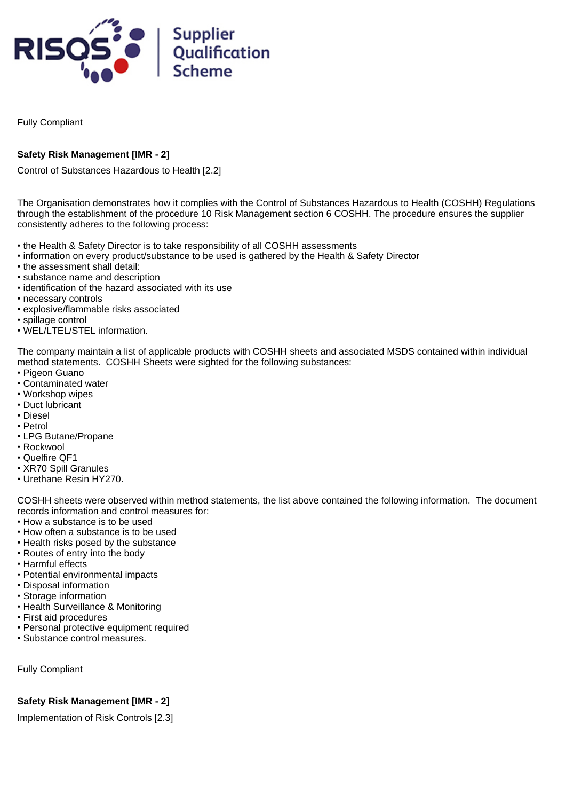

Fully Compliant

# **Safety Risk Management [IMR - 2]**

Control of Substances Hazardous to Health [2.2]

The Organisation demonstrates how it complies with the Control of Substances Hazardous to Health (COSHH) Regulations through the establishment of the procedure 10 Risk Management section 6 COSHH. The procedure ensures the supplier consistently adheres to the following process:

- the Health & Safety Director is to take responsibility of all COSHH assessments
- information on every product/substance to be used is gathered by the Health & Safety Director
- the assessment shall detail:
- substance name and description
- identification of the hazard associated with its use
- necessary controls
- explosive/flammable risks associated
- spillage control
- WEL/LTEL/STEL information.

The company maintain a list of applicable products with COSHH sheets and associated MSDS contained within individual method statements. COSHH Sheets were sighted for the following substances:

- Pigeon Guano
- Contaminated water
- Workshop wipes
- Duct lubricant
- Diesel
- Petrol
- LPG Butane/Propane
- Rockwool
- Quelfire QF1
- XR70 Spill Granules
- Urethane Resin HY270.

COSHH sheets were observed within method statements, the list above contained the following information. The document records information and control measures for:

- How a substance is to be used
- How often a substance is to be used
- Health risks posed by the substance
- Routes of entry into the body
- Harmful effects
- Potential environmental impacts
- Disposal information
- Storage information
- Health Surveillance & Monitoring
- First aid procedures
- Personal protective equipment required
- Substance control measures.

Fully Compliant

# **Safety Risk Management [IMR - 2]**

Implementation of Risk Controls [2.3]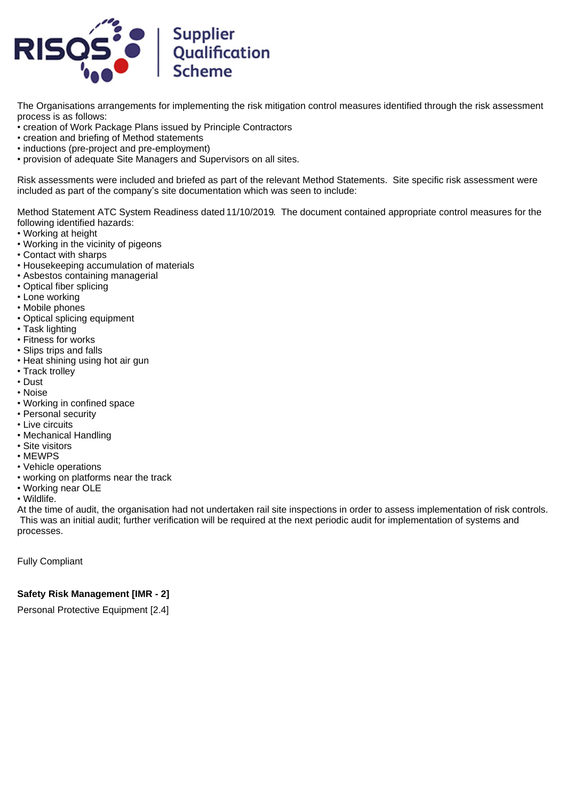

The Organisations arrangements for implementing the risk mitigation control measures identified through the risk assessment process is as follows:

- creation of Work Package Plans issued by Principle Contractors
- creation and briefing of Method statements
- inductions (pre-project and pre-employment)
- provision of adequate Site Managers and Supervisors on all sites.

Risk assessments were included and briefed as part of the relevant Method Statements. Site specific risk assessment were included as part of the company's site documentation which was seen to include:

Method Statement ATC System Readiness dated 11/10/2019. The document contained appropriate control measures for the following identified hazards:

- Working at height
- Working in the vicinity of pigeons
- Contact with sharps
- Housekeeping accumulation of materials
- Asbestos containing managerial
- Optical fiber splicing
- Lone working
- Mobile phones
- Optical splicing equipment
- Task lighting
- Fitness for works
- Slips trips and falls
- Heat shining using hot air gun
- Track trolley
- Dust
- Noise
- Working in confined space
- Personal security
- Live circuits
- Mechanical Handling
- Site visitors
- MEWPS
- Vehicle operations
- working on platforms near the track
- Working near OLE
- Wildlife.

At the time of audit, the organisation had not undertaken rail site inspections in order to assess implementation of risk controls. This was an initial audit; further verification will be required at the next periodic audit for implementation of systems and processes.

Fully Compliant

#### **Safety Risk Management [IMR - 2]**

Personal Protective Equipment [2.4]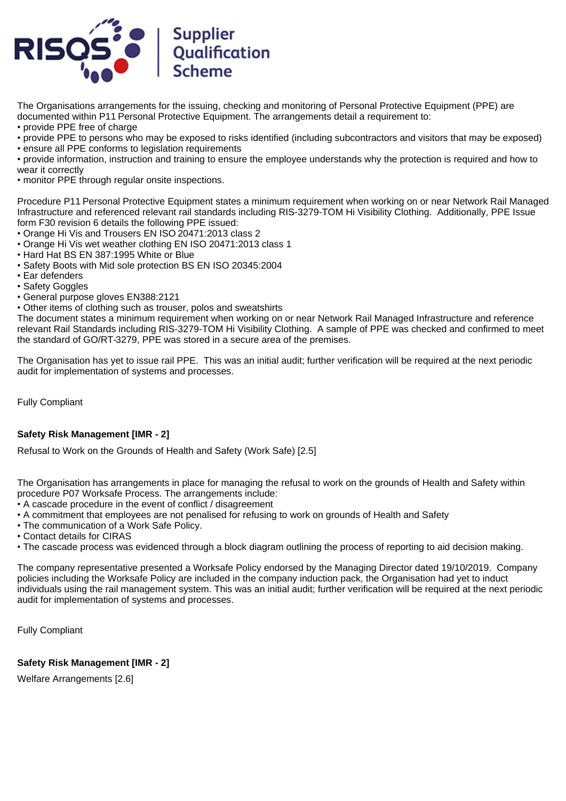

The Organisations arrangements for the issuing, checking and monitoring of Personal Protective Equipment (PPE) are documented within P11 Personal Protective Equipment. The arrangements detail a requirement to:

- provide PPE free of charge
- provide PPE to persons who may be exposed to risks identified (including subcontractors and visitors that may be exposed)
- ensure all PPE conforms to legislation requirements
- provide information, instruction and training to ensure the employee understands why the protection is required and how to wear it correctly
- monitor PPE through regular onsite inspections.

Procedure P11 Personal Protective Equipment states a minimum requirement when working on or near Network Rail Managed Infrastructure and referenced relevant rail standards including RIS-3279-TOM Hi Visibility Clothing. Additionally, PPE Issue form F30 revision 6 details the following PPE issued:

- Orange Hi Vis and Trousers EN ISO 20471:2013 class 2
- Orange Hi Vis wet weather clothing EN ISO 20471:2013 class 1
- Hard Hat BS EN 387:1995 White or Blue
- Safety Boots with Mid sole protection BS EN ISO 20345:2004
- Ear defenders
- Safety Goggles
- General purpose gloves EN388:2121
- Other items of clothing such as trouser, polos and sweatshirts

The document states a minimum requirement when working on or near Network Rail Managed Infrastructure and reference relevant Rail Standards including RIS-3279-TOM Hi Visibility Clothing. A sample of PPE was checked and confirmed to meet the standard of GO/RT-3279, PPE was stored in a secure area of the premises.

The Organisation has yet to issue rail PPE. This was an initial audit; further verification will be required at the next periodic audit for implementation of systems and processes.

Fully Compliant

# **Safety Risk Management [IMR - 2]**

Refusal to Work on the Grounds of Health and Safety (Work Safe) [2.5]

The Organisation has arrangements in place for managing the refusal to work on the grounds of Health and Safety within procedure P07 Worksafe Process. The arrangements include:

- A cascade procedure in the event of conflict / disagreement
- A commitment that employees are not penalised for refusing to work on grounds of Health and Safety
- The communication of a Work Safe Policy.
- Contact details for CIRAS
- The cascade process was evidenced through a block diagram outlining the process of reporting to aid decision making.

The company representative presented a Worksafe Policy endorsed by the Managing Director dated 19/10/2019. Company policies including the Worksafe Policy are included in the company induction pack, the Organisation had yet to induct individuals using the rail management system. This was an initial audit; further verification will be required at the next periodic audit for implementation of systems and processes.

Fully Compliant

**Safety Risk Management [IMR - 2]**

Welfare Arrangements [2.6]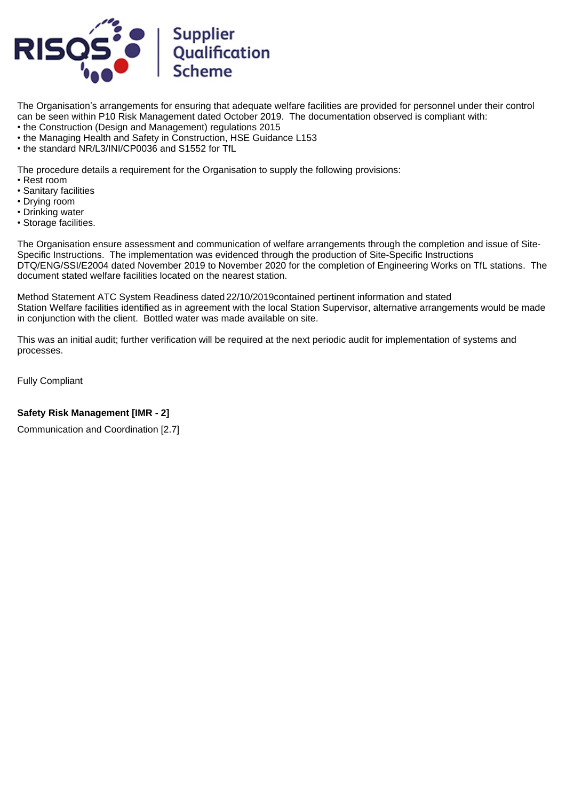

The Organisation's arrangements for ensuring that adequate welfare facilities are provided for personnel under their control can be seen within P10 Risk Management dated October 2019. The documentation observed is compliant with: • the Construction (Design and Management) regulations 2015

- the Managing Health and Safety in Construction, HSE Guidance L153
- the standard NR/L3/INI/CP0036 and S1552 for TfL

The procedure details a requirement for the Organisation to supply the following provisions:

- Rest room
- Sanitary facilities
- Drying room
- Drinking water
- Storage facilities.

The Organisation ensure assessment and communication of welfare arrangements through the completion and issue of Site-Specific Instructions. The implementation was evidenced through the production of Site-Specific Instructions DTQ/ENG/SSI/E2004 dated November 2019 to November 2020 for the completion of Engineering Works on TfL stations. The document stated welfare facilities located on the nearest station.

Method Statement ATC System Readiness dated 22/10/2019contained pertinent information and stated Station Welfare facilities identified as in agreement with the local Station Supervisor, alternative arrangements would be made in conjunction with the client. Bottled water was made available on site.

This was an initial audit; further verification will be required at the next periodic audit for implementation of systems and processes.

Fully Compliant

# **Safety Risk Management [IMR - 2]**

Communication and Coordination [2.7]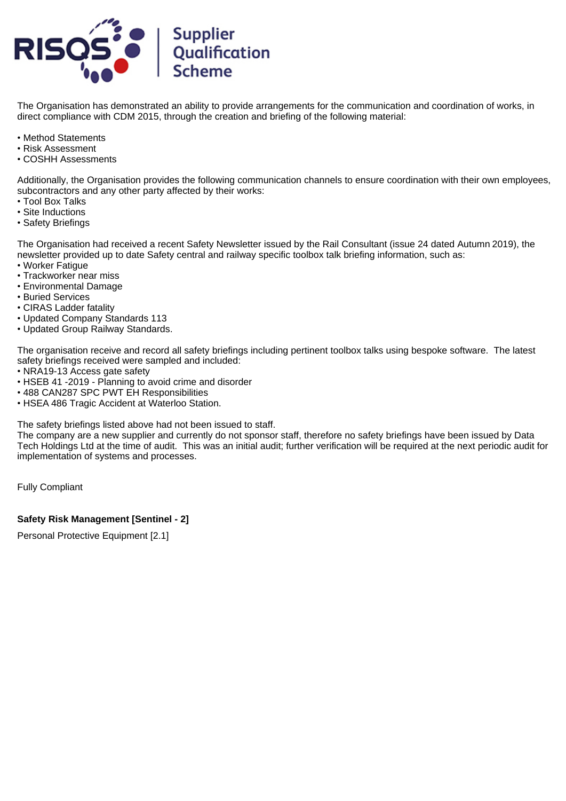

The Organisation has demonstrated an ability to provide arrangements for the communication and coordination of works, in direct compliance with CDM 2015, through the creation and briefing of the following material:

- Method Statements
- Risk Assessment
- COSHH Assessments

Additionally, the Organisation provides the following communication channels to ensure coordination with their own employees, subcontractors and any other party affected by their works:

- Tool Box Talks
- Site Inductions
- Safety Briefings

The Organisation had received a recent Safety Newsletter issued by the Rail Consultant (issue 24 dated Autumn 2019), the newsletter provided up to date Safety central and railway specific toolbox talk briefing information, such as:

- Worker Fatigue
- Trackworker near miss
- Environmental Damage
- Buried Services
- CIRAS Ladder fatality
- Updated Company Standards 113
- Updated Group Railway Standards.

The organisation receive and record all safety briefings including pertinent toolbox talks using bespoke software. The latest safety briefings received were sampled and included:

- NRA19-13 Access gate safety
- HSEB 41 -2019 Planning to avoid crime and disorder
- 488 CAN287 SPC PWT EH Responsibilities
- HSEA 486 Tragic Accident at Waterloo Station.

The safety briefings listed above had not been issued to staff.

The company are a new supplier and currently do not sponsor staff, therefore no safety briefings have been issued by Data Tech Holdings Ltd at the time of audit. This was an initial audit; further verification will be required at the next periodic audit for implementation of systems and processes.

Fully Compliant

# **Safety Risk Management [Sentinel - 2]**

Personal Protective Equipment [2.1]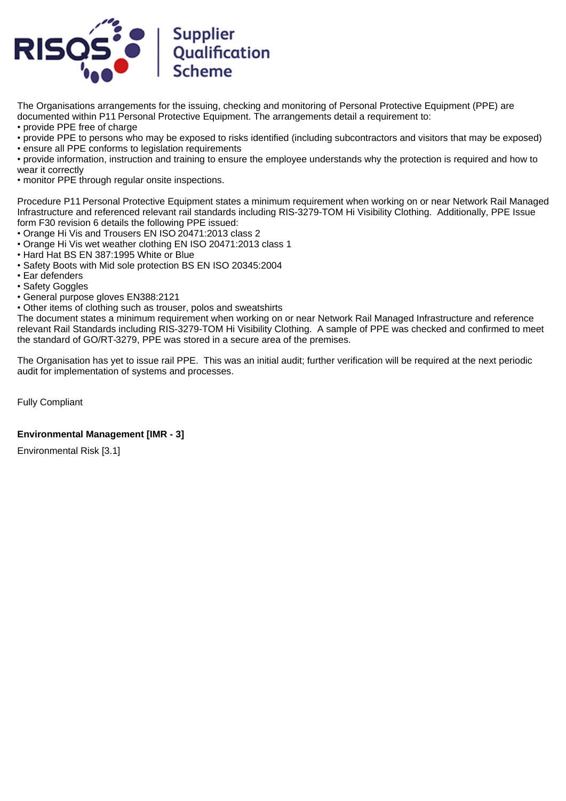

The Organisations arrangements for the issuing, checking and monitoring of Personal Protective Equipment (PPE) are documented within P11 Personal Protective Equipment. The arrangements detail a requirement to:

- provide PPE free of charge
- provide PPE to persons who may be exposed to risks identified (including subcontractors and visitors that may be exposed)
- ensure all PPE conforms to legislation requirements
- provide information, instruction and training to ensure the employee understands why the protection is required and how to wear it correctly
- monitor PPE through regular onsite inspections.

Procedure P11 Personal Protective Equipment states a minimum requirement when working on or near Network Rail Managed Infrastructure and referenced relevant rail standards including RIS-3279-TOM Hi Visibility Clothing. Additionally, PPE Issue form F30 revision 6 details the following PPE issued:

- Orange Hi Vis and Trousers EN ISO 20471:2013 class 2
- Orange Hi Vis wet weather clothing EN ISO 20471:2013 class 1
- Hard Hat BS EN 387:1995 White or Blue
- Safety Boots with Mid sole protection BS EN ISO 20345:2004
- Ear defenders
- Safety Goggles
- General purpose gloves EN388:2121
- Other items of clothing such as trouser, polos and sweatshirts

The document states a minimum requirement when working on or near Network Rail Managed Infrastructure and reference relevant Rail Standards including RIS-3279-TOM Hi Visibility Clothing. A sample of PPE was checked and confirmed to meet the standard of GO/RT-3279, PPE was stored in a secure area of the premises.

The Organisation has yet to issue rail PPE. This was an initial audit; further verification will be required at the next periodic audit for implementation of systems and processes.

Fully Compliant

# **Environmental Management [IMR - 3]**

Environmental Risk [3.1]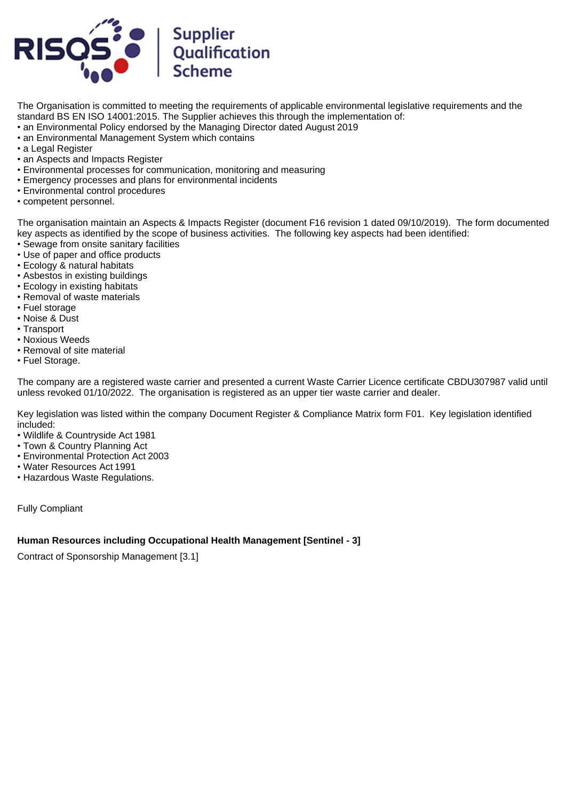

The Organisation is committed to meeting the requirements of applicable environmental legislative requirements and the standard BS EN ISO 14001:2015. The Supplier achieves this through the implementation of: • an Environmental Policy endorsed by the Managing Director dated August 2019

- an Environmental Management System which contains
- a Legal Register
- an Aspects and Impacts Register
- Environmental processes for communication, monitoring and measuring
- Emergency processes and plans for environmental incidents
- Environmental control procedures
- competent personnel.

The organisation maintain an Aspects & Impacts Register (document F16 revision 1 dated 09/10/2019). The form documented key aspects as identified by the scope of business activities. The following key aspects had been identified:

- Sewage from onsite sanitary facilities
- Use of paper and office products
- Ecology & natural habitats
- Asbestos in existing buildings
- Ecology in existing habitats
- Removal of waste materials
- Fuel storage
- Noise & Dust
- Transport
- Noxious Weeds
- Removal of site material
- Fuel Storage.

The company are a registered waste carrier and presented a current Waste Carrier Licence certificate CBDU307987 valid until unless revoked 01/10/2022. The organisation is registered as an upper tier waste carrier and dealer.

Key legislation was listed within the company Document Register & Compliance Matrix form F01. Key legislation identified included:

- Wildlife & Countryside Act 1981
- Town & Country Planning Act
- Environmental Protection Act 2003
- Water Resources Act 1991
- Hazardous Waste Regulations.

Fully Compliant

### **Human Resources including Occupational Health Management [Sentinel - 3]**

Contract of Sponsorship Management [3.1]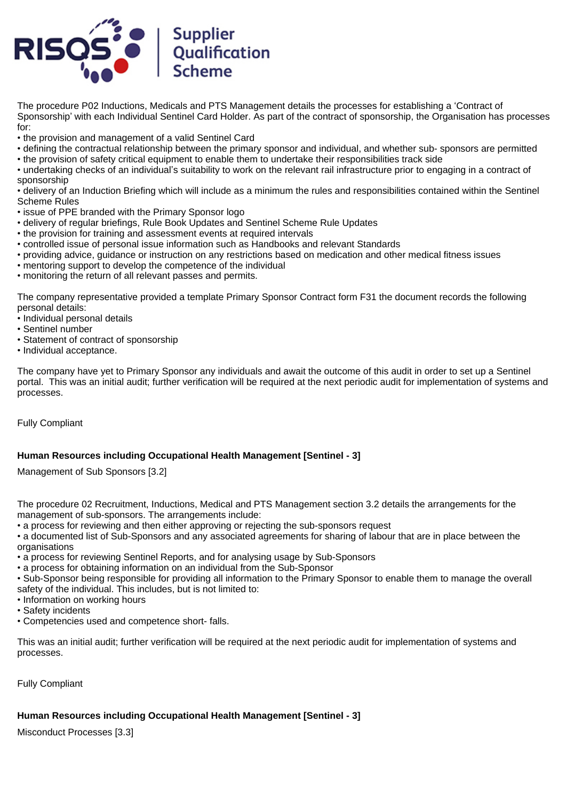

The procedure P02 Inductions, Medicals and PTS Management details the processes for establishing a 'Contract of Sponsorship' with each Individual Sentinel Card Holder. As part of the contract of sponsorship, the Organisation has processes for:

• the provision and management of a valid Sentinel Card

- defining the contractual relationship between the primary sponsor and individual, and whether sub- sponsors are permitted • the provision of safety critical equipment to enable them to undertake their responsibilities track side
- undertaking checks of an individual's suitability to work on the relevant rail infrastructure prior to engaging in a contract of sponsorship

• delivery of an Induction Briefing which will include as a minimum the rules and responsibilities contained within the Sentinel Scheme Rules

- issue of PPE branded with the Primary Sponsor logo
- delivery of regular briefings, Rule Book Updates and Sentinel Scheme Rule Updates
- the provision for training and assessment events at required intervals
- controlled issue of personal issue information such as Handbooks and relevant Standards
- providing advice, guidance or instruction on any restrictions based on medication and other medical fitness issues
- mentoring support to develop the competence of the individual
- monitoring the return of all relevant passes and permits.

The company representative provided a template Primary Sponsor Contract form F31 the document records the following personal details:

- Individual personal details
- Sentinel number
- Statement of contract of sponsorship
- Individual acceptance.

The company have yet to Primary Sponsor any individuals and await the outcome of this audit in order to set up a Sentinel portal. This was an initial audit; further verification will be required at the next periodic audit for implementation of systems and processes.

Fully Compliant

# **Human Resources including Occupational Health Management [Sentinel - 3]**

Management of Sub Sponsors [3.2]

The procedure 02 Recruitment, Inductions, Medical and PTS Management section 3.2 details the arrangements for the management of sub-sponsors. The arrangements include:

• a process for reviewing and then either approving or rejecting the sub-sponsors request

• a documented list of Sub-Sponsors and any associated agreements for sharing of labour that are in place between the organisations

- a process for reviewing Sentinel Reports, and for analysing usage by Sub-Sponsors
- a process for obtaining information on an individual from the Sub-Sponsor

• Sub-Sponsor being responsible for providing all information to the Primary Sponsor to enable them to manage the overall safety of the individual. This includes, but is not limited to:

- Information on working hours
- Safety incidents
- Competencies used and competence short- falls.

This was an initial audit; further verification will be required at the next periodic audit for implementation of systems and processes.

Fully Compliant

# **Human Resources including Occupational Health Management [Sentinel - 3]**

Misconduct Processes [3.3]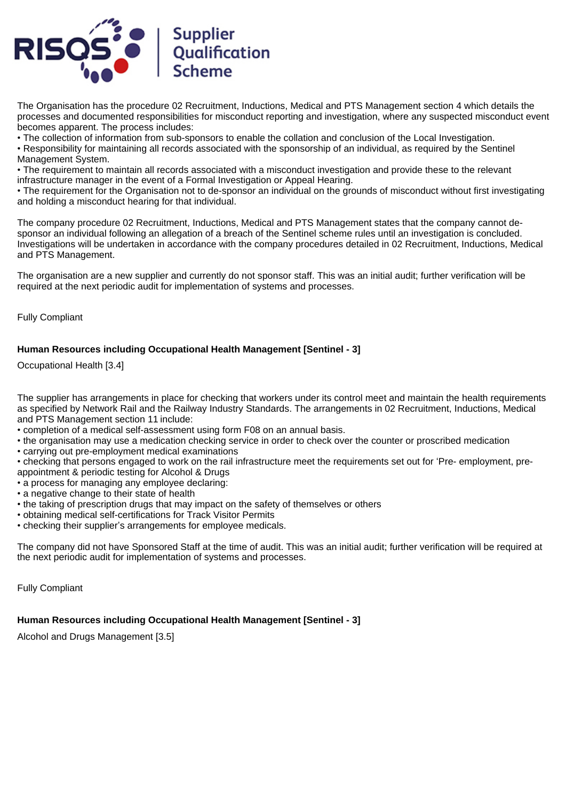

The Organisation has the procedure 02 Recruitment, Inductions, Medical and PTS Management section 4 which details the processes and documented responsibilities for misconduct reporting and investigation, where any suspected misconduct event becomes apparent. The process includes:

• The collection of information from sub-sponsors to enable the collation and conclusion of the Local Investigation.

• Responsibility for maintaining all records associated with the sponsorship of an individual, as required by the Sentinel Management System.

• The requirement to maintain all records associated with a misconduct investigation and provide these to the relevant infrastructure manager in the event of a Formal Investigation or Appeal Hearing.

• The requirement for the Organisation not to de-sponsor an individual on the grounds of misconduct without first investigating and holding a misconduct hearing for that individual.

The company procedure 02 Recruitment, Inductions, Medical and PTS Management states that the company cannot desponsor an individual following an allegation of a breach of the Sentinel scheme rules until an investigation is concluded. Investigations will be undertaken in accordance with the company procedures detailed in 02 Recruitment, Inductions, Medical and PTS Management.

The organisation are a new supplier and currently do not sponsor staff. This was an initial audit; further verification will be required at the next periodic audit for implementation of systems and processes.

Fully Compliant

# **Human Resources including Occupational Health Management [Sentinel - 3]**

Occupational Health [3.4]

The supplier has arrangements in place for checking that workers under its control meet and maintain the health requirements as specified by Network Rail and the Railway Industry Standards. The arrangements in 02 Recruitment, Inductions, Medical and PTS Management section 11 include:

- completion of a medical self-assessment using form F08 on an annual basis.
- the organisation may use a medication checking service in order to check over the counter or proscribed medication
- carrying out pre-employment medical examinations
- checking that persons engaged to work on the rail infrastructure meet the requirements set out for 'Pre- employment, preappointment & periodic testing for Alcohol & Drugs
- a process for managing any employee declaring:
- a negative change to their state of health
- the taking of prescription drugs that may impact on the safety of themselves or others
- obtaining medical self-certifications for Track Visitor Permits
- checking their supplier's arrangements for employee medicals.

The company did not have Sponsored Staff at the time of audit. This was an initial audit; further verification will be required at the next periodic audit for implementation of systems and processes.

Fully Compliant

# **Human Resources including Occupational Health Management [Sentinel - 3]**

Alcohol and Drugs Management [3.5]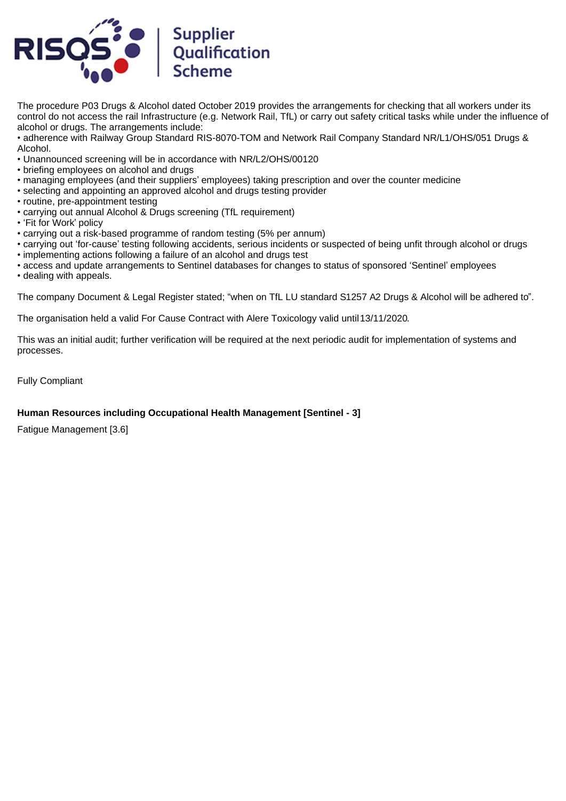

The procedure P03 Drugs & Alcohol dated October 2019 provides the arrangements for checking that all workers under its control do not access the rail Infrastructure (e.g. Network Rail, TfL) or carry out safety critical tasks while under the influence of alcohol or drugs. The arrangements include:

• adherence with Railway Group Standard RIS-8070-TOM and Network Rail Company Standard NR/L1/OHS/051 Drugs & Alcohol.

- Unannounced screening will be in accordance with NR/L2/OHS/00120
- briefing employees on alcohol and drugs
- managing employees (and their suppliers' employees) taking prescription and over the counter medicine
- selecting and appointing an approved alcohol and drugs testing provider
- routine, pre-appointment testing
- carrying out annual Alcohol & Drugs screening (TfL requirement)
- 'Fit for Work' policy
- carrying out a risk-based programme of random testing (5% per annum)
- carrying out 'for-cause' testing following accidents, serious incidents or suspected of being unfit through alcohol or drugs
- implementing actions following a failure of an alcohol and drugs test
- access and update arrangements to Sentinel databases for changes to status of sponsored 'Sentinel' employees
- dealing with appeals.

The company Document & Legal Register stated; "when on TfL LU standard S1257 A2 Drugs & Alcohol will be adhered to".

The organisation held a valid For Cause Contract with Alere Toxicology valid until 13/11/2020.

This was an initial audit; further verification will be required at the next periodic audit for implementation of systems and processes.

Fully Compliant

# **Human Resources including Occupational Health Management [Sentinel - 3]**

Fatigue Management [3.6]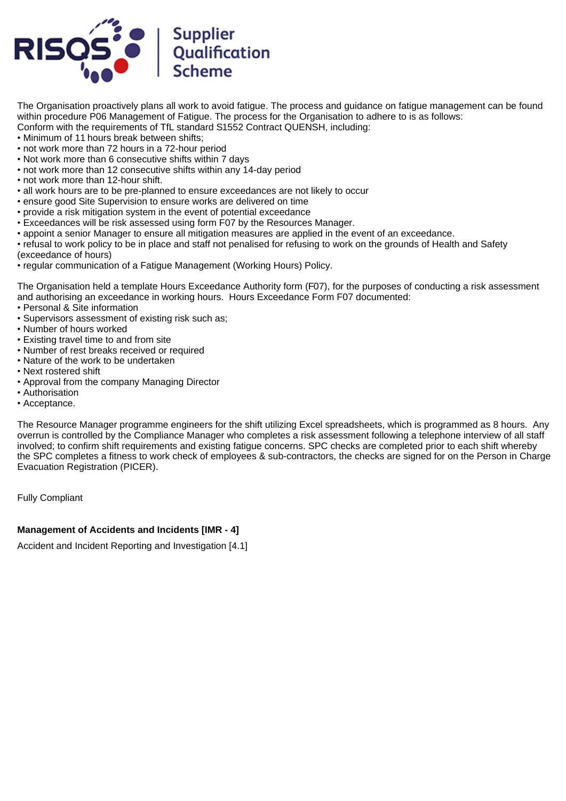

The Organisation proactively plans all work to avoid fatigue. The process and guidance on fatigue management can be found within procedure P06 Management of Fatigue. The process for the Organisation to adhere to is as follows: Conform with the requirements of TfL standard S1552 Contract QUENSH, including:

- Minimum of 11 hours break between shifts;
- not work more than 72 hours in a 72-hour period
- Not work more than 6 consecutive shifts within 7 days
- not work more than 12 consecutive shifts within any 14-day period
- not work more than 12-hour shift.
- all work hours are to be pre-planned to ensure exceedances are not likely to occur
- ensure good Site Supervision to ensure works are delivered on time
- provide a risk mitigation system in the event of potential exceedance
- Exceedances will be risk assessed using form F07 by the Resources Manager.
- appoint a senior Manager to ensure all mitigation measures are applied in the event of an exceedance.
- refusal to work policy to be in place and staff not penalised for refusing to work on the grounds of Health and Safety (exceedance of hours)
- regular communication of a Fatigue Management (Working Hours) Policy.

The Organisation held a template Hours Exceedance Authority form (F07), for the purposes of conducting a risk assessment and authorising an exceedance in working hours. Hours Exceedance Form F07 documented:

- Personal & Site information
- Supervisors assessment of existing risk such as;
- Number of hours worked
- Existing travel time to and from site
- Number of rest breaks received or required
- Nature of the work to be undertaken
- Next rostered shift
- Approval from the company Managing Director
- Authorisation
- Acceptance.

The Resource Manager programme engineers for the shift utilizing Excel spreadsheets, which is programmed as 8 hours. Any overrun is controlled by the Compliance Manager who completes a risk assessment following a telephone interview of all staff involved; to confirm shift requirements and existing fatigue concerns. SPC checks are completed prior to each shift whereby the SPC completes a fitness to work check of employees & sub-contractors, the checks are signed for on the Person in Charge Evacuation Registration (PICER).

Fully Compliant

#### **Management of Accidents and Incidents [IMR - 4]**

Accident and Incident Reporting and Investigation [4.1]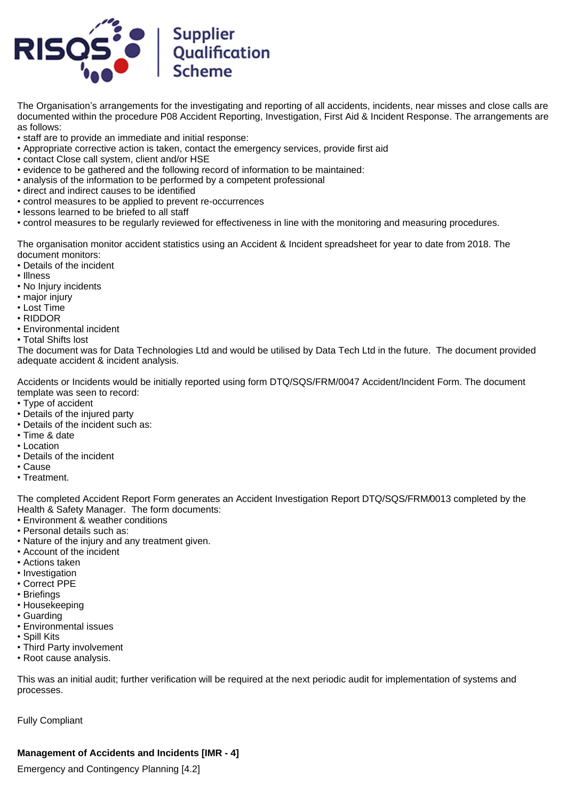

The Organisation's arrangements for the investigating and reporting of all accidents, incidents, near misses and close calls are documented within the procedure P08 Accident Reporting, Investigation, First Aid & Incident Response. The arrangements are as follows:

- staff are to provide an immediate and initial response:
- Appropriate corrective action is taken, contact the emergency services, provide first aid
- contact Close call system, client and/or HSE
- evidence to be gathered and the following record of information to be maintained:
- analysis of the information to be performed by a competent professional
- direct and indirect causes to be identified
- control measures to be applied to prevent re-occurrences
- lessons learned to be briefed to all staff
- control measures to be regularly reviewed for effectiveness in line with the monitoring and measuring procedures.

The organisation monitor accident statistics using an Accident & Incident spreadsheet for year to date from 2018. The document monitors:

- Details of the incident
- Illness
- No Injury incidents
- major injury
- Lost Time
- RIDDOR
- Environmental incident
- Total Shifts lost

The document was for Data Technologies Ltd and would be utilised by Data Tech Ltd in the future. The document provided adequate accident & incident analysis.

Accidents or Incidents would be initially reported using form DTQ/SQS/FRM/0047 Accident/Incident Form. The document template was seen to record:

- Type of accident
- Details of the injured party
- Details of the incident such as:
- Time & date
- Location
- Details of the incident
- Cause
- Treatment.

The completed Accident Report Form generates an Accident Investigation Report DTQ/SQS/FRM/0013 completed by the Health & Safety Manager. The form documents:

- Environment & weather conditions
- Personal details such as:
- Nature of the injury and any treatment given.
- Account of the incident
- Actions taken
- Investigation
- Correct PPE
- Briefings
- Housekeeping
- Guarding
- Environmental issues
- Spill Kits
- Third Party involvement
- Root cause analysis.

This was an initial audit; further verification will be required at the next periodic audit for implementation of systems and processes.

Fully Compliant

# **Management of Accidents and Incidents [IMR - 4]**

Emergency and Contingency Planning [4.2]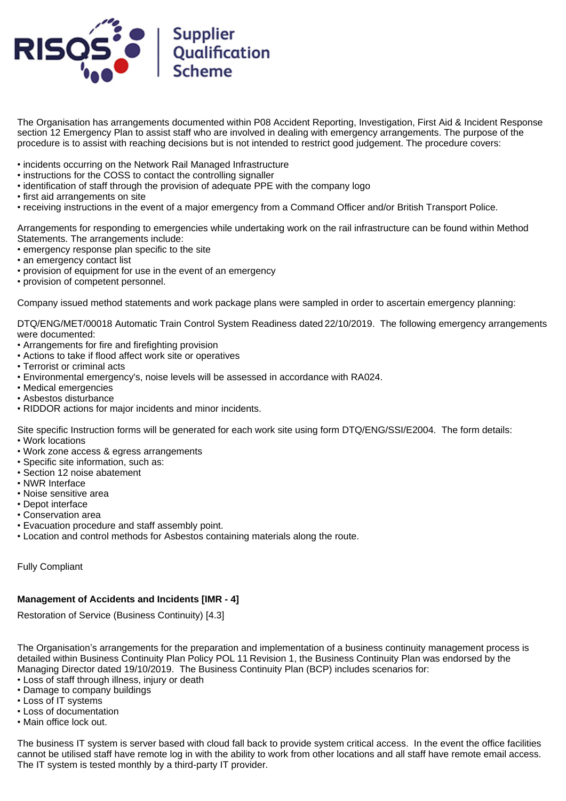

The Organisation has arrangements documented within P08 Accident Reporting, Investigation, First Aid & Incident Response section 12 Emergency Plan to assist staff who are involved in dealing with emergency arrangements. The purpose of the procedure is to assist with reaching decisions but is not intended to restrict good judgement. The procedure covers:

- incidents occurring on the Network Rail Managed Infrastructure
- instructions for the COSS to contact the controlling signaller
- identification of staff through the provision of adequate PPE with the company logo
- first aid arrangements on site
- receiving instructions in the event of a major emergency from a Command Officer and/or British Transport Police.

Arrangements for responding to emergencies while undertaking work on the rail infrastructure can be found within Method Statements. The arrangements include:

- emergency response plan specific to the site
- an emergency contact list
- provision of equipment for use in the event of an emergency
- provision of competent personnel.

Company issued method statements and work package plans were sampled in order to ascertain emergency planning:

DTQ/ENG/MET/00018 Automatic Train Control System Readiness dated 22/10/2019. The following emergency arrangements were documented:

- Arrangements for fire and firefighting provision
- Actions to take if flood affect work site or operatives
- Terrorist or criminal acts
- Environmental emergency's, noise levels will be assessed in accordance with RA024.
- Medical emergencies
- Asbestos disturbance
- RIDDOR actions for major incidents and minor incidents.

Site specific Instruction forms will be generated for each work site using form DTQ/ENG/SSI/E2004. The form details:

- Work locations
- Work zone access & egress arrangements
- Specific site information, such as:
- Section 12 noise abatement
- NWR Interface
- Noise sensitive area
- Depot interface
- Conservation area
- Evacuation procedure and staff assembly point.
- Location and control methods for Asbestos containing materials along the route.

Fully Compliant

# **Management of Accidents and Incidents [IMR - 4]**

Restoration of Service (Business Continuity) [4.3]

The Organisation's arrangements for the preparation and implementation of a business continuity management process is detailed within Business Continuity Plan Policy POL 11 Revision 1, the Business Continuity Plan was endorsed by the Managing Director dated 19/10/2019. The Business Continuity Plan (BCP) includes scenarios for:

- Loss of staff through illness, injury or death
- Damage to company buildings
- Loss of IT systems
- Loss of documentation
- Main office lock out.

The business IT system is server based with cloud fall back to provide system critical access. In the event the office facilities cannot be utilised staff have remote log in with the ability to work from other locations and all staff have remote email access. The IT system is tested monthly by a third-party IT provider.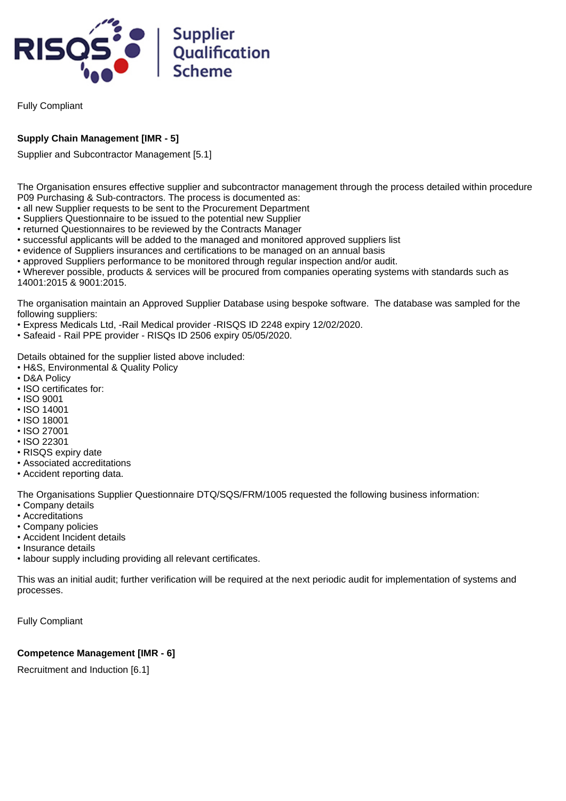

Fully Compliant

# **Supply Chain Management [IMR - 5]**

Supplier and Subcontractor Management [5.1]

The Organisation ensures effective supplier and subcontractor management through the process detailed within procedure P09 Purchasing & Sub-contractors. The process is documented as:

- all new Supplier requests to be sent to the Procurement Department
- Suppliers Questionnaire to be issued to the potential new Supplier
- returned Questionnaires to be reviewed by the Contracts Manager
- successful applicants will be added to the managed and monitored approved suppliers list
- evidence of Suppliers insurances and certifications to be managed on an annual basis
- approved Suppliers performance to be monitored through regular inspection and/or audit.

• Wherever possible, products & services will be procured from companies operating systems with standards such as 14001:2015 & 9001:2015.

The organisation maintain an Approved Supplier Database using bespoke software. The database was sampled for the following suppliers:

- Express Medicals Ltd, -Rail Medical provider -RISQS ID 2248 expiry 12/02/2020.
- Safeaid Rail PPE provider RISQs ID 2506 expiry 05/05/2020.

Details obtained for the supplier listed above included:

- H&S, Environmental & Quality Policy
- D&A Policy
- ISO certificates for:
- ISO 9001
- ISO 14001
- ISO 18001
- ISO 27001
- ISO 22301
- RISQS expiry date
- Associated accreditations
- Accident reporting data.

The Organisations Supplier Questionnaire DTQ/SQS/FRM/1005 requested the following business information:

- Company details
- Accreditations
- Company policies
- Accident Incident details
- Insurance details
- labour supply including providing all relevant certificates.

This was an initial audit; further verification will be required at the next periodic audit for implementation of systems and processes.

Fully Compliant

# **Competence Management [IMR - 6]**

Recruitment and Induction [6.1]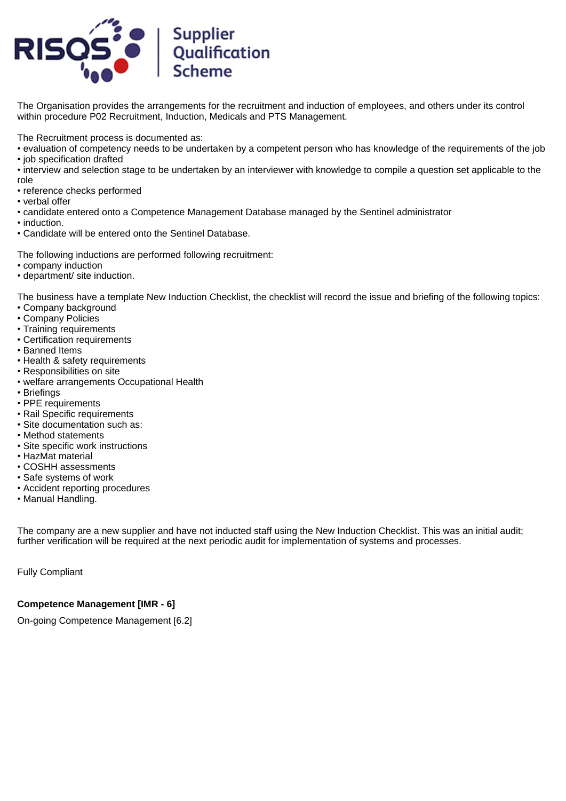

The Organisation provides the arrangements for the recruitment and induction of employees, and others under its control within procedure P02 Recruitment, Induction, Medicals and PTS Management.

The Recruitment process is documented as:

- evaluation of competency needs to be undertaken by a competent person who has knowledge of the requirements of the job
- job specification drafted
- interview and selection stage to be undertaken by an interviewer with knowledge to compile a question set applicable to the role
- reference checks performed
- verbal offer
- candidate entered onto a Competence Management Database managed by the Sentinel administrator
- induction.
- Candidate will be entered onto the Sentinel Database.

The following inductions are performed following recruitment:

- company induction
- department/ site induction.

The business have a template New Induction Checklist, the checklist will record the issue and briefing of the following topics:

- Company background
- Company Policies
- Training requirements
- Certification requirements
- Banned Items
- Health & safety requirements
- Responsibilities on site
- welfare arrangements Occupational Health
- Briefings
- PPE requirements
- Rail Specific requirements
- Site documentation such as:
- Method statements
- Site specific work instructions
- HazMat material
- COSHH assessments
- Safe systems of work
- Accident reporting procedures
- Manual Handling.

The company are a new supplier and have not inducted staff using the New Induction Checklist. This was an initial audit; further verification will be required at the next periodic audit for implementation of systems and processes.

Fully Compliant

# **Competence Management [IMR - 6]**

On-going Competence Management [6.2]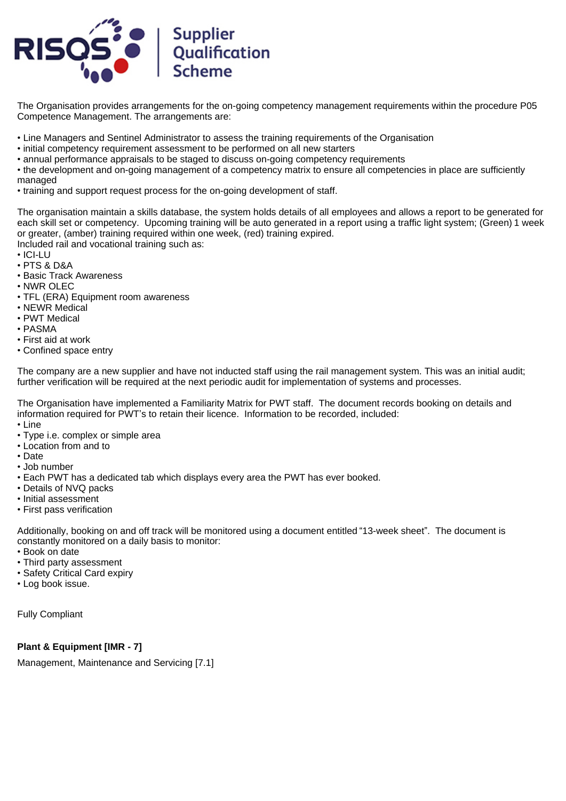

The Organisation provides arrangements for the on-going competency management requirements within the procedure P05 Competence Management. The arrangements are:

- Line Managers and Sentinel Administrator to assess the training requirements of the Organisation
- initial competency requirement assessment to be performed on all new starters
- annual performance appraisals to be staged to discuss on-going competency requirements

• the development and on-going management of a competency matrix to ensure all competencies in place are sufficiently managed

• training and support request process for the on-going development of staff.

The organisation maintain a skills database, the system holds details of all employees and allows a report to be generated for each skill set or competency. Upcoming training will be auto generated in a report using a traffic light system; (Green) 1 week or greater, (amber) training required within one week, (red) training expired.

Included rail and vocational training such as:

- ICI-LU
- PTS & D&A
- Basic Track Awareness
- NWR OLEC
- TFL (ERA) Equipment room awareness
- NEWR Medical
- PWT Medical
- PASMA
- First aid at work
- Confined space entry

The company are a new supplier and have not inducted staff using the rail management system. This was an initial audit; further verification will be required at the next periodic audit for implementation of systems and processes.

The Organisation have implemented a Familiarity Matrix for PWT staff. The document records booking on details and information required for PWT's to retain their licence. Information to be recorded, included:

- Line
- Type i.e. complex or simple area
- Location from and to
- Date
- Job number
- Each PWT has a dedicated tab which displays every area the PWT has ever booked.
- Details of NVQ packs
- Initial assessment
- First pass verification

Additionally, booking on and off track will be monitored using a document entitled "13-week sheet". The document is constantly monitored on a daily basis to monitor:

- Book on date
- Third party assessment
- Safety Critical Card expiry
- Log book issue.

Fully Compliant

#### **Plant & Equipment [IMR - 7]**

Management, Maintenance and Servicing [7.1]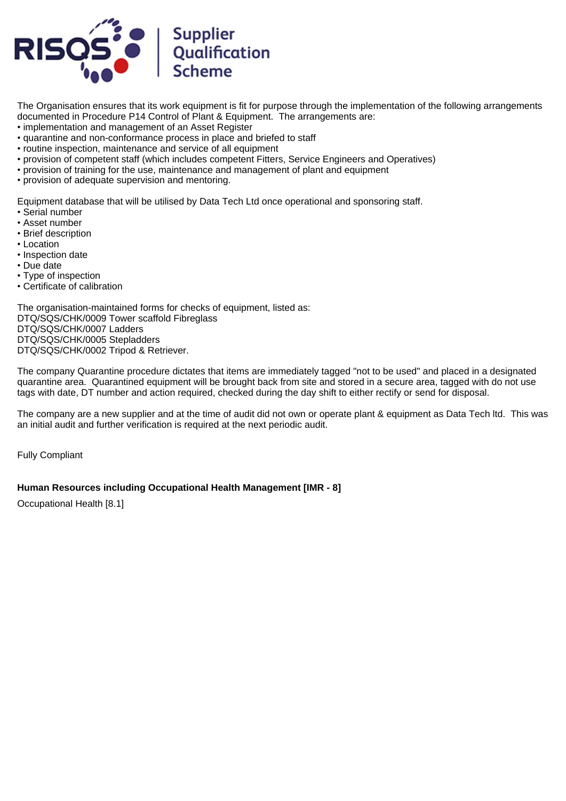

The Organisation ensures that its work equipment is fit for purpose through the implementation of the following arrangements documented in Procedure P14 Control of Plant & Equipment. The arrangements are:

• implementation and management of an Asset Register

- quarantine and non-conformance process in place and briefed to staff
- routine inspection, maintenance and service of all equipment
- provision of competent staff (which includes competent Fitters, Service Engineers and Operatives)
- provision of training for the use, maintenance and management of plant and equipment
- provision of adequate supervision and mentoring.

Equipment database that will be utilised by Data Tech Ltd once operational and sponsoring staff.

- Serial number
- Asset number
- Brief description
- Location
- Inspection date
- Due date
- Type of inspection
- Certificate of calibration

The organisation-maintained forms for checks of equipment, listed as: DTQ/SQS/CHK/0009 Tower scaffold Fibreglass DTQ/SQS/CHK/0007 Ladders DTQ/SQS/CHK/0005 Stepladders DTQ/SQS/CHK/0002 Tripod & Retriever.

The company Quarantine procedure dictates that items are immediately tagged "not to be used" and placed in a designated quarantine area. Quarantined equipment will be brought back from site and stored in a secure area, tagged with do not use tags with date, DT number and action required, checked during the day shift to either rectify or send for disposal.

The company are a new supplier and at the time of audit did not own or operate plant & equipment as Data Tech ltd. This was an initial audit and further verification is required at the next periodic audit.

Fully Compliant

# **Human Resources including Occupational Health Management [IMR - 8]**

Occupational Health [8.1]